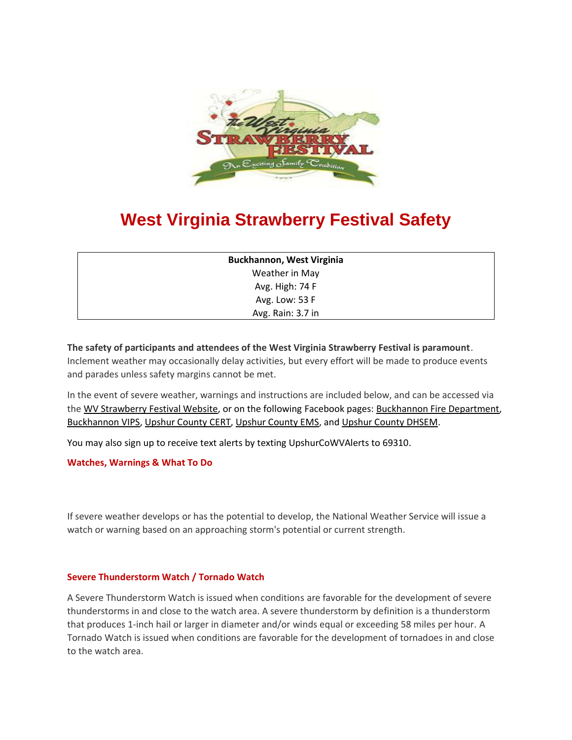

# **West Virginia Strawberry Festival Safety**

| <b>Buckhannon, West Virginia</b> |  |
|----------------------------------|--|
| Weather in May                   |  |
| Avg. High: 74 F                  |  |
| Avg. Low: 53 F                   |  |
| Avg. Rain: 3.7 in                |  |

**The safety of participants and attendees of the West Virginia Strawberry Festival is paramount**. Inclement weather may occasionally delay activities, but every effort will be made to produce events and parades unless safety margins cannot be met.

In the event of severe weather, warnings and instructions are included below, and can be accessed via the [WV Strawberry Festival Website,](http://www.wvstrawberryfestival.com/) or on the following Facebook pages: [Buckhannon Fire Department,](https://www.facebook.com/BuckhannonFire/) [Buckhannon VIPS,](https://www.facebook.com/BuckhannonVIPS/) [Upshur County CERT,](https://www.facebook.com/UpshurCoCERT/) [Upshur County EMS,](https://www.facebook.com/UpshurEMS/) and [Upshur County DHSEM.](https://www.facebook.com/pages/category/Government-Organization/Upshur-County-Dept-of-Homeland-Security-and-Emergency-Management-270515976947015/)

You may also sign up to receive text alerts by texting UpshurCoWVAlerts to 69310.

**Watches, Warnings & What To Do**

If severe weather develops or has the potential to develop, the National Weather Service will issue a watch or warning based on an approaching storm's potential or current strength.

### **Severe Thunderstorm Watch / Tornado Watch**

A Severe Thunderstorm Watch is issued when conditions are favorable for the development of severe thunderstorms in and close to the watch area. A severe thunderstorm by definition is a thunderstorm that produces 1-inch hail or larger in diameter and/or winds equal or exceeding 58 miles per hour. A Tornado Watch is issued when conditions are favorable for the development of tornadoes in and close to the watch area.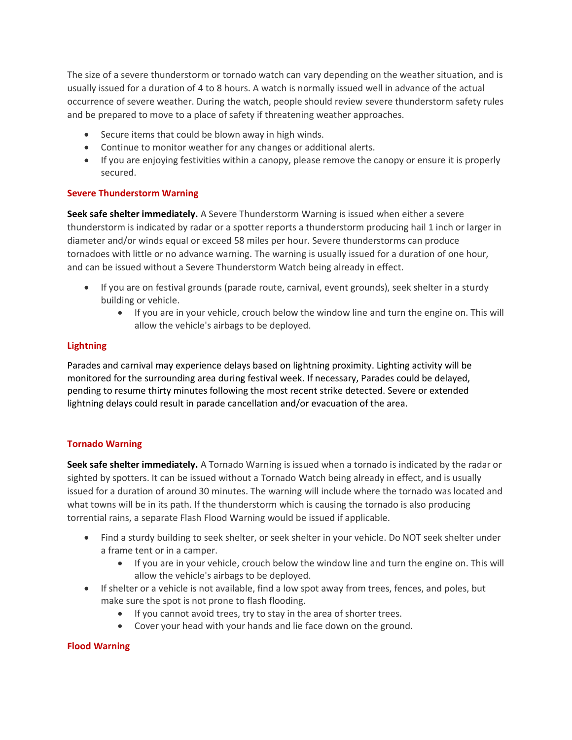The size of a severe thunderstorm or tornado watch can vary depending on the weather situation, and is usually issued for a duration of 4 to 8 hours. A watch is normally issued well in advance of the actual occurrence of severe weather. During the watch, people should review severe thunderstorm safety rules and be prepared to move to a place of safety if threatening weather approaches.

- Secure items that could be blown away in high winds.
- Continue to monitor weather for any changes or additional alerts.
- If you are enjoying festivities within a canopy, please remove the canopy or ensure it is properly secured.

## **Severe Thunderstorm Warning**

**Seek safe shelter immediately.** A Severe Thunderstorm Warning is issued when either a severe thunderstorm is indicated by radar or a spotter reports a thunderstorm producing hail 1 inch or larger in diameter and/or winds equal or exceed 58 miles per hour. Severe thunderstorms can produce tornadoes with little or no advance warning. The warning is usually issued for a duration of one hour, and can be issued without a Severe Thunderstorm Watch being already in effect.

- If you are on festival grounds (parade route, carnival, event grounds), seek shelter in a sturdy building or vehicle.
	- If you are in your vehicle, crouch below the window line and turn the engine on. This will allow the vehicle's airbags to be deployed.

## **Lightning**

Parades and carnival may experience delays based on lightning proximity. Lighting activity will be monitored for the surrounding area during festival week. If necessary, Parades could be delayed, pending to resume thirty minutes following the most recent strike detected. Severe or extended lightning delays could result in parade cancellation and/or evacuation of the area.

### **Tornado Warning**

**Seek safe shelter immediately.** A Tornado Warning is issued when a tornado is indicated by the radar or sighted by spotters. It can be issued without a Tornado Watch being already in effect, and is usually issued for a duration of around 30 minutes. The warning will include where the tornado was located and what towns will be in its path. If the thunderstorm which is causing the tornado is also producing torrential rains, a separate Flash Flood Warning would be issued if applicable.

- Find a sturdy building to seek shelter, or seek shelter in your vehicle. Do NOT seek shelter under a frame tent or in a camper.
	- If you are in your vehicle, crouch below the window line and turn the engine on. This will allow the vehicle's airbags to be deployed.
- If shelter or a vehicle is not available, find a low spot away from trees, fences, and poles, but make sure the spot is not prone to flash flooding.
	- If you cannot avoid trees, try to stay in the area of shorter trees.
	- Cover your head with your hands and lie face down on the ground.

### **Flood Warning**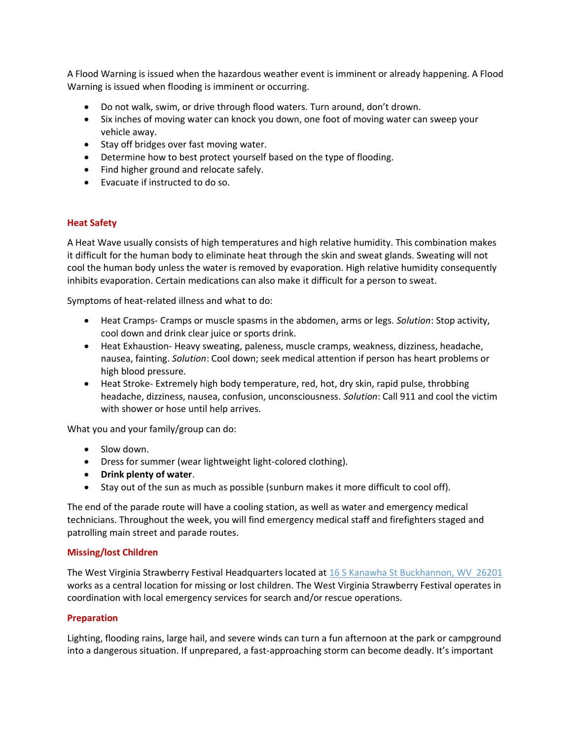A Flood Warning is issued when the hazardous weather event is imminent or already happening. A Flood Warning is issued when flooding is imminent or occurring.

- Do not walk, swim, or drive through flood waters. Turn around, don't drown.
- Six inches of moving water can knock you down, one foot of moving water can sweep your vehicle away.
- Stay off bridges over fast moving water.
- Determine how to best protect yourself based on the type of flooding.
- Find higher ground and relocate safely.
- Evacuate if instructed to do so.

### **Heat Safety**

A Heat Wave usually consists of high temperatures and high relative humidity. This combination makes it difficult for the human body to eliminate heat through the skin and sweat glands. Sweating will not cool the human body unless the water is removed by evaporation. High relative humidity consequently inhibits evaporation. Certain medications can also make it difficult for a person to sweat.

Symptoms of heat-related illness and what to do:

- Heat Cramps- Cramps or muscle spasms in the abdomen, arms or legs. *Solution*: Stop activity, cool down and drink clear juice or sports drink.
- Heat Exhaustion- Heavy sweating, paleness, muscle cramps, weakness, dizziness, headache, nausea, fainting. *Solution*: Cool down; seek medical attention if person has heart problems or high blood pressure.
- Heat Stroke- Extremely high body temperature, red, hot, dry skin, rapid pulse, throbbing headache, dizziness, nausea, confusion, unconsciousness. *Solution*: Call 911 and cool the victim with shower or hose until help arrives.

What you and your family/group can do:

- Slow down.
- Dress for summer (wear lightweight light-colored clothing).
- **Drink plenty of water**.
- Stay out of the sun as much as possible (sunburn makes it more difficult to cool off).

The end of the parade route will have a cooling station, as well as water and emergency medical technicians. Throughout the week, you will find emergency medical staff and firefighters staged and patrolling main street and parade routes.

### **Missing/lost Children**

The West Virginia Strawberry Festival Headquarters located at 16 S Kanawha St [Buckhannon, WV 26201](https://www.google.com/maps/place/West+Virginia+Strawberry+Festival+Association/@38.9939576,-80.2335042,17z/data=!3m1!4b1!4m5!3m4!1s0x884a517e2fb4ab29:0xa364135b54e00e78!8m2!3d38.9939576!4d-80.2313155) works as a central location for missing or lost children. The West Virginia Strawberry Festival operates in coordination with local emergency services for search and/or rescue operations.

### **Preparation**

Lighting, flooding rains, large hail, and severe winds can turn a fun afternoon at the park or campground into a dangerous situation. If unprepared, a fast-approaching storm can become deadly. It's important